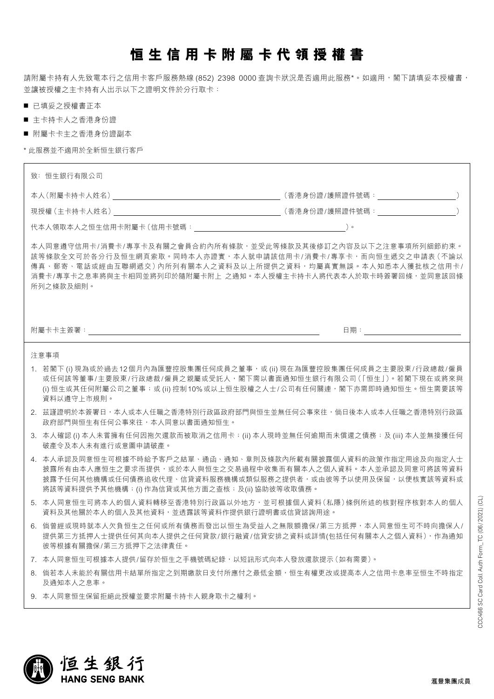## **恒生信用卡附屬卡代領授權書**

請附屬卡持有人先致電本行之信用卡客戶服務熱線 (852) 2398 0000 查詢卡狀況是否適用此服務\*。如適用,閣下請填妥本授權書, 並讓被授權之主卡持有人出示以下之證明文件於分行取卡:

■ 已填妥之授權書正本

- 主卡持卡人之香港身份證
- 附屬卡卡主之香港身份證副本

\* 此服務並不適用於全新恒生銀行客戶

| 本人同意遵守信用卡/消費卡/專享卡及有關之會員合約內所有條款,並受此等條款及其後修訂之內容及以下之注意事項所列細節約束。<br>該等條款全文可於各分行及恒生網頁索取。同時本人亦證實,本人就申請該信用卡/消費卡/專享卡,而向恒生遞交之申請表 (不論以<br>傳真、郵寄、電話或經由互聯網遞交)內所列有關本人之資料及以上所提供之資料,均屬真實無誤。本人知悉本人獲批核之信用卡/<br>消費卡/專享卡之息率將與主卡相同並將列印於隨附屬卡附上 之通知。本人授權主卡持卡人將代表本人於取卡時簽署回條,並同意該回條<br>所列之條款及細則。<br>日期: そうしゃ しんしょう しんしょう<br>附屬卡卡主簽署: こうしょう しょうしょう しょうしょう しょうしょく あいしょう<br>注意事項<br>1. 若閣下 (i)現為或於過去12個月內為匯豐控股集團任何成員之董事,或 (ii)現在為匯豐控股集團任何成員之主要股東/行政總裁/僱員<br>或任何該等董事/主要股東/行政總裁/僱員之親屬或受託人,閣下需以書面通知恒生銀行有限公司(「恒生」)。若閣下現在或將來與<br>(i)恒生或其任何附屬公司之董事;或(ii)控制10%或以上恒生股權之人士/公司有任何關連,閣下亦需即時通知恒生。恒生需要該等<br>資料以導守上市規則。<br>2. 茲謹證明於本簽署日,本人或本人任職之香港特別行政區政府部門與恒生並無任何公事來往,倘日後本人或本人任職之香港特別行政區<br>政府部門與恒生有任何公事來往,本人同意以書面通知恒生。<br>3. 本人確認 (i) 本人未嘗擁有任何因拖欠還款而被取消之信用卡;(ii) 本人現時並無任何逾期而未償還之債務;及 (iii) 本人並無接獲任何<br>破產令及本人未有進行或意圖申請破產。<br>4. 本人承認及同意恒生可根據不時給予客戶之結單、通函、通知、章則及條款內所載有關披露個人資料的政策作指定用途及向指定人士<br>披露所有由本人應恒生之要求而提供,或於本人與恒生之交易過程中收集而有關本人之個人資料。本人並承認及同意可將該等資料<br>披露予任何其他機構或任何債務追收代理、信貸資料服務機構或類似服務之提供者,或由彼等予以使用及保留,以便核實該等資料或<br>將該等資料提供予其他機構; (i) 作為信貸或其他方面之查核; 及(ii) 協助彼等收取債務。<br>5. 本人同意恒生可將本人的個人資料轉移至香港特別行政區以外地方,並可根據個人資料(私隱)條例所述的核對程序核對本人的個人<br>資料及其他關於本人的個人及其他資料,並透露該等資料作提供銀行證明書或信貸諮詢用途。<br>6. 倘曾經或現時就本人欠負恒生之任何或所有債務而發出以恒生為受益人之無限額擔保/第三方抵押,本人同意恒生可不時向擔保人/<br>提供第三方抵押人士提供任何其向本人提供之任何貸款/銀行融資/信貸安排之資料或詳情(包括任何有關本人之個人資料),作為通知<br>彼等根據有關擔保/第三方抵押下之法律責任。<br>7.本人同意恒生可根據本人提供/留存於恒生之手機號碼紀錄,以短訊形式向本人發放還款提示(如有需要)。<br>8. 倘若本人未能於有關信用卡結單所指定之到期繳款日支付所應付之最低金額,恒生有權更改或提高本人之信用卡息率至恒生不時指定<br>及涌知本人之息率。<br>9. 本人同意恒生保留拒絕此授權並要求附屬卡持卡人親身取卡之權利。 | 致:恒生銀行有限公司 |  |  |  |
|------------------------------------------------------------------------------------------------------------------------------------------------------------------------------------------------------------------------------------------------------------------------------------------------------------------------------------------------------------------------------------------------------------------------------------------------------------------------------------------------------------------------------------------------------------------------------------------------------------------------------------------------------------------------------------------------------------------------------------------------------------------------------------------------------------------------------------------------------------------------------------------------------------------------------------------------------------------------------------------------------------------------------------------------------------------------------------------------------------------------------------------------------------------------------------------------------------------------------------------------------------------------------------------------------------------------------------------------------------------------------------------------------------------------------------------------------------------------------------|------------|--|--|--|
|                                                                                                                                                                                                                                                                                                                                                                                                                                                                                                                                                                                                                                                                                                                                                                                                                                                                                                                                                                                                                                                                                                                                                                                                                                                                                                                                                                                                                                                                                    |            |  |  |  |
|                                                                                                                                                                                                                                                                                                                                                                                                                                                                                                                                                                                                                                                                                                                                                                                                                                                                                                                                                                                                                                                                                                                                                                                                                                                                                                                                                                                                                                                                                    |            |  |  |  |
|                                                                                                                                                                                                                                                                                                                                                                                                                                                                                                                                                                                                                                                                                                                                                                                                                                                                                                                                                                                                                                                                                                                                                                                                                                                                                                                                                                                                                                                                                    |            |  |  |  |
|                                                                                                                                                                                                                                                                                                                                                                                                                                                                                                                                                                                                                                                                                                                                                                                                                                                                                                                                                                                                                                                                                                                                                                                                                                                                                                                                                                                                                                                                                    |            |  |  |  |
|                                                                                                                                                                                                                                                                                                                                                                                                                                                                                                                                                                                                                                                                                                                                                                                                                                                                                                                                                                                                                                                                                                                                                                                                                                                                                                                                                                                                                                                                                    |            |  |  |  |
|                                                                                                                                                                                                                                                                                                                                                                                                                                                                                                                                                                                                                                                                                                                                                                                                                                                                                                                                                                                                                                                                                                                                                                                                                                                                                                                                                                                                                                                                                    |            |  |  |  |
|                                                                                                                                                                                                                                                                                                                                                                                                                                                                                                                                                                                                                                                                                                                                                                                                                                                                                                                                                                                                                                                                                                                                                                                                                                                                                                                                                                                                                                                                                    |            |  |  |  |
|                                                                                                                                                                                                                                                                                                                                                                                                                                                                                                                                                                                                                                                                                                                                                                                                                                                                                                                                                                                                                                                                                                                                                                                                                                                                                                                                                                                                                                                                                    |            |  |  |  |
|                                                                                                                                                                                                                                                                                                                                                                                                                                                                                                                                                                                                                                                                                                                                                                                                                                                                                                                                                                                                                                                                                                                                                                                                                                                                                                                                                                                                                                                                                    |            |  |  |  |
|                                                                                                                                                                                                                                                                                                                                                                                                                                                                                                                                                                                                                                                                                                                                                                                                                                                                                                                                                                                                                                                                                                                                                                                                                                                                                                                                                                                                                                                                                    |            |  |  |  |
|                                                                                                                                                                                                                                                                                                                                                                                                                                                                                                                                                                                                                                                                                                                                                                                                                                                                                                                                                                                                                                                                                                                                                                                                                                                                                                                                                                                                                                                                                    |            |  |  |  |
|                                                                                                                                                                                                                                                                                                                                                                                                                                                                                                                                                                                                                                                                                                                                                                                                                                                                                                                                                                                                                                                                                                                                                                                                                                                                                                                                                                                                                                                                                    |            |  |  |  |
|                                                                                                                                                                                                                                                                                                                                                                                                                                                                                                                                                                                                                                                                                                                                                                                                                                                                                                                                                                                                                                                                                                                                                                                                                                                                                                                                                                                                                                                                                    |            |  |  |  |
|                                                                                                                                                                                                                                                                                                                                                                                                                                                                                                                                                                                                                                                                                                                                                                                                                                                                                                                                                                                                                                                                                                                                                                                                                                                                                                                                                                                                                                                                                    |            |  |  |  |
|                                                                                                                                                                                                                                                                                                                                                                                                                                                                                                                                                                                                                                                                                                                                                                                                                                                                                                                                                                                                                                                                                                                                                                                                                                                                                                                                                                                                                                                                                    |            |  |  |  |



CCC466 SC Card Coll Auth Form\_TC (06/2021) (CL)

CCC466 SC Card Coll Auth Form\_TC (06/2021) (CL)